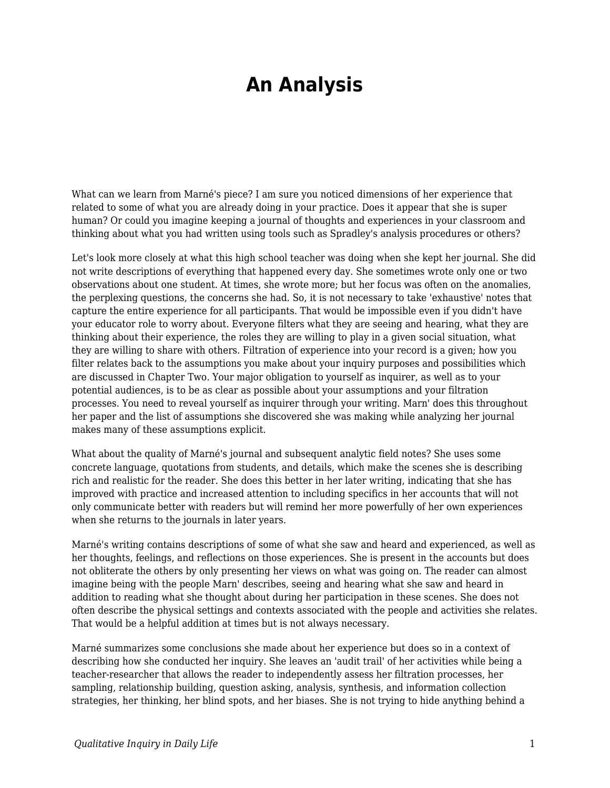## **An Analysis**

What can we learn from Marné's piece? I am sure you noticed dimensions of her experience that related to some of what you are already doing in your practice. Does it appear that she is super human? Or could you imagine keeping a journal of thoughts and experiences in your classroom and thinking about what you had written using tools such as Spradley's analysis procedures or others?

Let's look more closely at what this high school teacher was doing when she kept her journal. She did not write descriptions of everything that happened every day. She sometimes wrote only one or two observations about one student. At times, she wrote more; but her focus was often on the anomalies, the perplexing questions, the concerns she had. So, it is not necessary to take 'exhaustive' notes that capture the entire experience for all participants. That would be impossible even if you didn't have your educator role to worry about. Everyone filters what they are seeing and hearing, what they are thinking about their experience, the roles they are willing to play in a given social situation, what they are willing to share with others. Filtration of experience into your record is a given; how you filter relates back to the assumptions you make about your inquiry purposes and possibilities which are discussed in Chapter Two. Your major obligation to yourself as inquirer, as well as to your potential audiences, is to be as clear as possible about your assumptions and your filtration processes. You need to reveal yourself as inquirer through your writing. Marn' does this throughout her paper and the list of assumptions she discovered she was making while analyzing her journal makes many of these assumptions explicit.

What about the quality of Marné's journal and subsequent analytic field notes? She uses some concrete language, quotations from students, and details, which make the scenes she is describing rich and realistic for the reader. She does this better in her later writing, indicating that she has improved with practice and increased attention to including specifics in her accounts that will not only communicate better with readers but will remind her more powerfully of her own experiences when she returns to the journals in later years.

Marné's writing contains descriptions of some of what she saw and heard and experienced, as well as her thoughts, feelings, and reflections on those experiences. She is present in the accounts but does not obliterate the others by only presenting her views on what was going on. The reader can almost imagine being with the people Marn' describes, seeing and hearing what she saw and heard in addition to reading what she thought about during her participation in these scenes. She does not often describe the physical settings and contexts associated with the people and activities she relates. That would be a helpful addition at times but is not always necessary.

Marné summarizes some conclusions she made about her experience but does so in a context of describing how she conducted her inquiry. She leaves an 'audit trail' of her activities while being a teacher-researcher that allows the reader to independently assess her filtration processes, her sampling, relationship building, question asking, analysis, synthesis, and information collection strategies, her thinking, her blind spots, and her biases. She is not trying to hide anything behind a